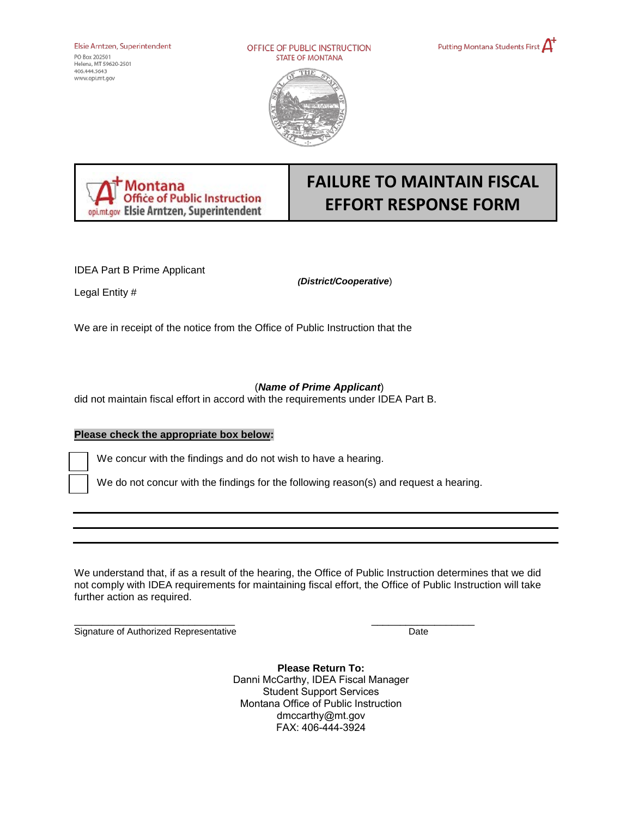Elsie Arntzen, Superintendent

PO Box *20250* I Helena, MT S9620-2S0I 406.4<4.5643 **www.opi.mtgov** 

OFFICE OF PUBLIC INSTRUCTION STATE OF MONTANA







# **FAILURE TO MAINTAIN FISCAL EFFORT RESPONSE FORM**

IDEA Part B Prime Applicant

*(District/Cooperative*)

Legal Entity #

We are in receipt of the notice from the Office of Public Instruction that the

## (*Name of Prime Applicant*)

did not maintain fiscal effort in accord with the requirements under IDEA Part B.

## **Please check the appropriate box below:**

We concur with the findings and do not wish to have a hearing.

We do not concur with the findings for the following reason(s) and request a hearing.

 not comply with IDEA requirements for maintaining fiscal effort, the Office of Public Instruction will take We understand that, if as a result of the hearing, the Office of Public Instruction determines that we did further action as required.

\_\_\_\_\_\_\_\_\_\_\_\_\_\_\_\_\_\_\_\_\_\_\_\_\_\_\_\_ \_\_\_\_\_\_\_\_\_\_\_\_\_\_\_\_\_\_ Signature of Authorized Representative Date

**Please Return To:**  Danni McCarthy, IDEA Fiscal Manager Student Support Services Montana Office of Public Instruction dmccarthy@mt.gov FAX: 406-444-3924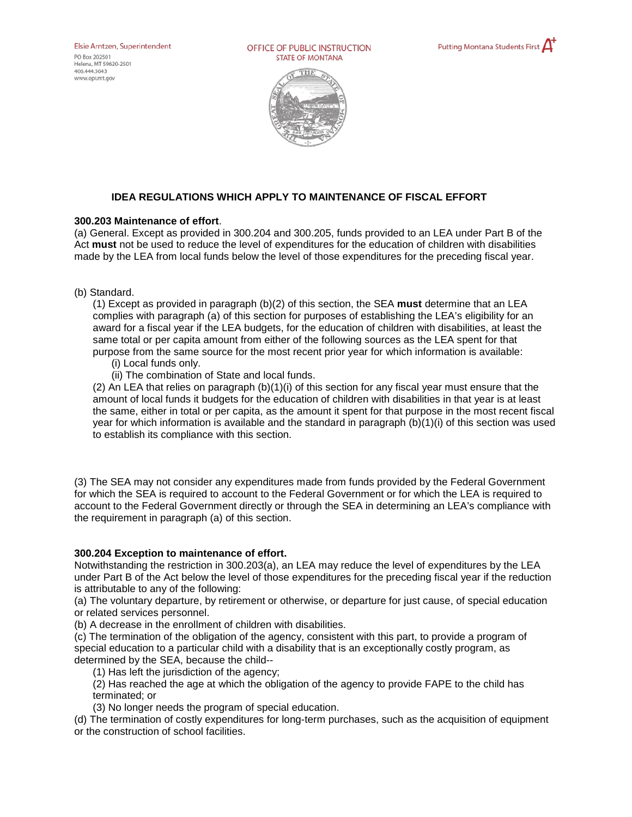Elsie Arntzen, Superintendent

PO Box 20250 I Helena, MT 59620-2501 406.444.5643 **www.opi.mt.9ov** 

OFFICE OF PUBLIC INSTRUCTION STATE OF MONTANA





### **IDEA REGULATIONS WHICH APPLY TO MAINTENANCE OF FISCAL EFFORT**

#### **300.203 Maintenance of effort**.

 (a) General. Except as provided in 300.204 and 300.205, funds provided to an LEA under Part B of the Act **must** not be used to reduce the level of expenditures for the education of children with disabilities made by the LEA from local funds below the level of those expenditures for the preceding fiscal year.

(b) Standard.

 award for a fiscal year if the LEA budgets, for the education of children with disabilities, at least the purpose from the same source for the most recent prior year for which information is available: (1) Except as provided in paragraph (b)(2) of this section, the SEA **must** determine that an LEA complies with paragraph (a) of this section for purposes of establishing the LEA's eligibility for an same total or per capita amount from either of the following sources as the LEA spent for that

- (i) Local funds only.
- (ii) The combination of State and local funds.

 the same, either in total or per capita, as the amount it spent for that purpose in the most recent fiscal (2) An LEA that relies on paragraph (b)(1)(i) of this section for any fiscal year must ensure that the amount of local funds it budgets for the education of children with disabilities in that year is at least year for which information is available and the standard in paragraph (b)(1)(i) of this section was used to establish its compliance with this section.

(3) The SEA may not consider any expenditures made from funds provided by the Federal Government for which the SEA is required to account to the Federal Government or for which the LEA is required to account to the Federal Government directly or through the SEA in determining an LEA's compliance with the requirement in paragraph (a) of this section.

#### **300.204 Exception to maintenance of effort.**

 under Part B of the Act below the level of those expenditures for the preceding fiscal year if the reduction Notwithstanding the restriction in 300.203(a), an LEA may reduce the level of expenditures by the LEA is attributable to any of the following:

(a) The voluntary departure, by retirement or otherwise, or departure for just cause, of special education or related services personnel.

(b) A decrease in the enrollment of children with disabilities.

 (c) The termination of the obligation of the agency, consistent with this part, to provide a program of special education to a particular child with a disability that is an exceptionally costly program, as determined by the SEA, because the child--

(1) Has left the jurisdiction of the agency;

(2) Has reached the age at which the obligation of the agency to provide FAPE to the child has terminated; or

(3) No longer needs the program of special education.

(d) The termination of costly expenditures for long-term purchases, such as the acquisition of equipment or the construction of school facilities.